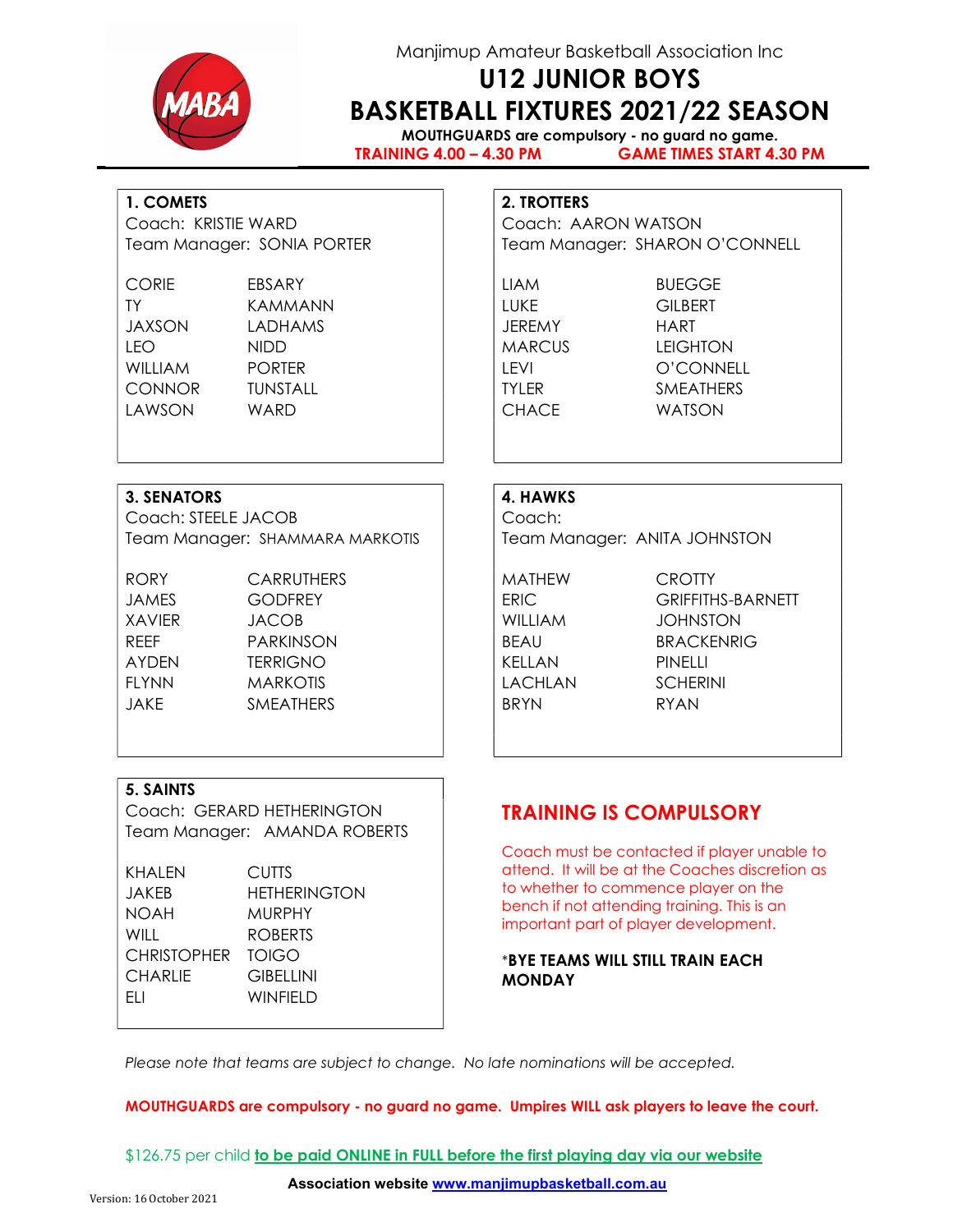

## Manjimup Amateur Basketball Association Inc

# U12 JUNIOR BOYS BASKETBALL FIXTURES 2021/22 SEASON

MOUTHGUARDS are compulsory - no guard no game. TRAINING 4.00 – 4.30 PM GAME TIMES START 4.30 PM

### 1. COMETS 2. TROTTERS

Coach: KRISTIE WARD Coach: AARON WATSON

Team Manager: SONIA PORTER Team Manager: SHARON O'CONNELL

CORIE EBSARY LIAM BUEGGE TY KAMMANN LUKE GILBERT JAXSON LADHAMS JEREMY HART LEO NIDD **NIDD MARCUS** LEIGHTON LAWSON WARD CHACE WATSON

WILLIAM PORTER | LEVI O'CONNELL CONNOR TUNSTALL TYLER SMEATHERS

### 3. SENATORS 4. HAWKS

Coach: STEELE JACOB Coach: Team Manager: SHAMMARA MARKOTIS | Team Manager: ANITA JOHNSTON

RORY CARRUTHERS | MATHEW CROTTY JAMES GODFREY ERIC GRIFFITHS-BARNETT XAVIER JACOB WILLIAM JOHNSTON REEF PARKINSON BEAU BEAU BRACKENRIG AYDEN TERRIGNO KELLAN PINELLI FLYNN MARKOTIS | LACHLAN SCHERINI JAKE SMEATHERS BRYN RYAN

#### 5. SAINTS

Coach: GERARD HETHERINGTON Team Manager: AMANDA ROBERTS

| KHALEN            | <b>CUTTS</b>        |
|-------------------|---------------------|
| JAKEB             | <b>HETHERINGTON</b> |
| NOAH              | MURPHY              |
| WILL              | <b>ROBERTS</b>      |
| CHRISTOPHER TOIGO |                     |
| CHARLIE           | <b>GIBELLINI</b>    |
| ЕLІ               | <b>WINFIELD</b>     |
|                   |                     |

## TRAINING IS COMPULSORY

Coach must be contacted if player unable to attend. It will be at the Coaches discretion as to whether to commence player on the bench if not attending training. This is an important part of player development.

#### \*BYE TEAMS WILL STILL TRAIN EACH MONDAY

Please note that teams are subject to change. No late nominations will be accepted.

#### MOUTHGUARDS are compulsory - no guard no game. Umpires WILL ask players to leave the court.

\$126.75 per child to be paid ONLINE in FULL before the first playing day via our website